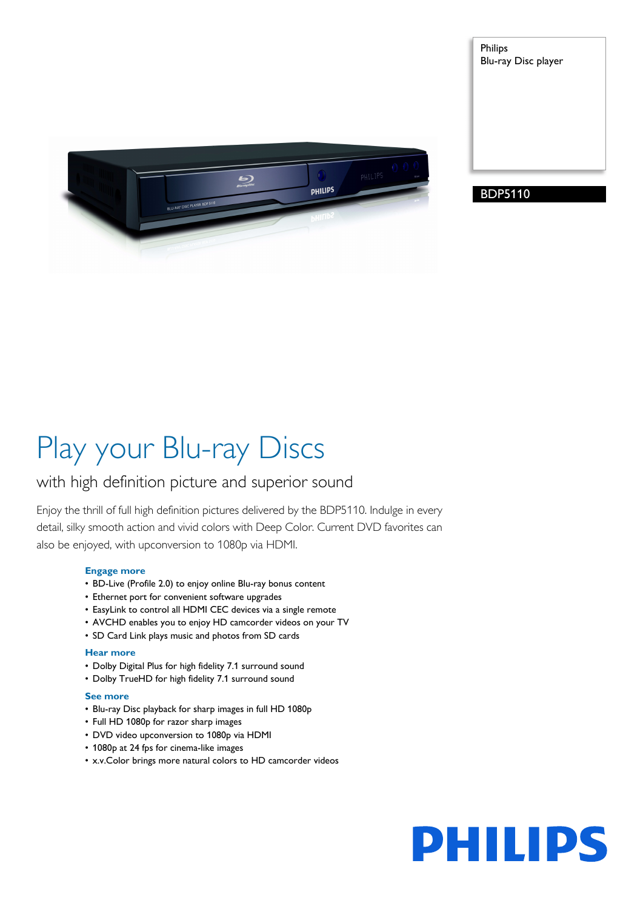





# Play your Blu-ray Discs

# with high definition picture and superior sound

Enjoy the thrill of full high definition pictures delivered by the BDP5110. Indulge in every detail, silky smooth action and vivid colors with Deep Color. Current DVD favorites can also be enjoyed, with upconversion to 1080p via HDMI.

# **Engage more**

- BD-Live (Profile 2.0) to enjoy online Blu-ray bonus content
- Ethernet port for convenient software upgrades
- EasyLink to control all HDMI CEC devices via a single remote
- AVCHD enables you to enjoy HD camcorder videos on your TV
- SD Card Link plays music and photos from SD cards

# **Hear more**

- Dolby Digital Plus for high fidelity 7.1 surround sound
- Dolby TrueHD for high fidelity 7.1 surround sound

# **See more**

- Blu-ray Disc playback for sharp images in full HD 1080p
- Full HD 1080p for razor sharp images
- DVD video upconversion to 1080p via HDMI
- 1080p at 24 fps for cinema-like images
- x.v.Color brings more natural colors to HD camcorder videos

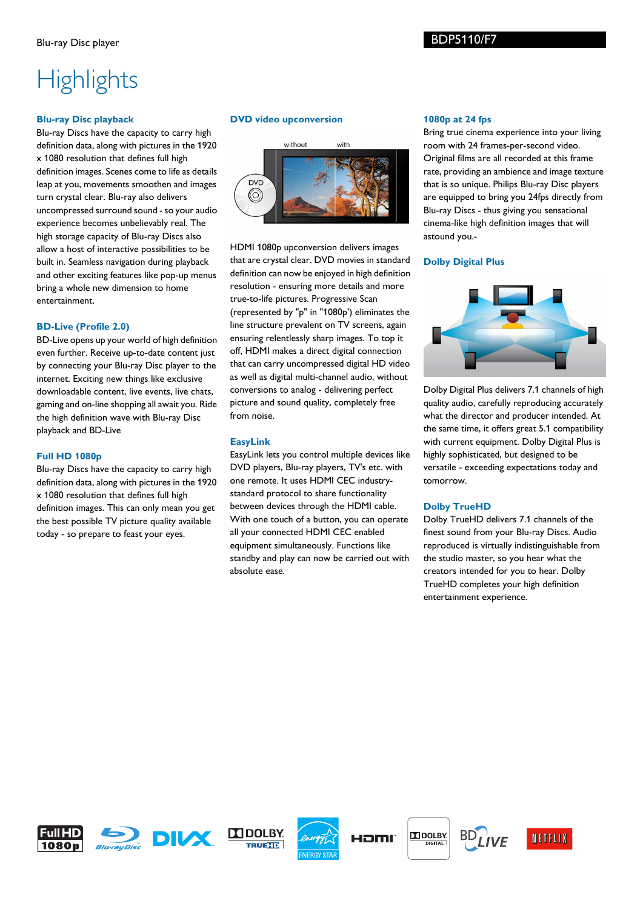# **Highlights**

# **Blu-ray Disc playback**

Blu-ray Discs have the capacity to carry high definition data, along with pictures in the 1920 x 1080 resolution that defines full high definition images. Scenes come to life as details leap at you, movements smoothen and images turn crystal clear. Blu-ray also delivers uncompressed surround sound - so your audio experience becomes unbelievably real. The high storage capacity of Blu-ray Discs also allow a host of interactive possibilities to be built in. Seamless navigation during playback and other exciting features like pop-up menus bring a whole new dimension to home entertainment.

# **BD-Live (Profile 2.0)**

BD-Live opens up your world of high definition even further. Receive up-to-date content just by connecting your Blu-ray Disc player to the internet. Exciting new things like exclusive downloadable content, live events, live chats, gaming and on-line shopping all await you. Ride the high definition wave with Blu-ray Disc playback and BD-Live

#### **Full HD 1080p**

Blu-ray Discs have the capacity to carry high definition data, along with pictures in the 1920 x 1080 resolution that defines full high definition images. This can only mean you get the best possible TV picture quality available today - so prepare to feast your eyes.

# **DVD video upconversion**



HDMI 1080p upconversion delivers images that are crystal clear. DVD movies in standard definition can now be enjoyed in high definition resolution - ensuring more details and more true-to-life pictures. Progressive Scan (represented by "p" in "1080p') eliminates the line structure prevalent on TV screens, again ensuring relentlessly sharp images. To top it off, HDMI makes a direct digital connection that can carry uncompressed digital HD video as well as digital multi-channel audio, without conversions to analog - delivering perfect picture and sound quality, completely free from noise.

# **EasyLink**

EasyLink lets you control multiple devices like DVD players, Blu-ray players, TV's etc. with one remote. It uses HDMI CEC industrystandard protocol to share functionality between devices through the HDMI cable. With one touch of a button, you can operate all your connected HDMI CEC enabled equipment simultaneously. Functions like standby and play can now be carried out with absolute ease.

#### **1080p at 24 fps**

Bring true cinema experience into your living room with 24 frames-per-second video. Original films are all recorded at this frame rate, providing an ambience and image texture that is so unique. Philips Blu-ray Disc players are equipped to bring you 24fps directly from Blu-ray Discs - thus giving you sensational cinema-like high definition images that will astound you.-

### **Dolby Digital Plus**



Dolby Digital Plus delivers 7.1 channels of high quality audio, carefully reproducing accurately what the director and producer intended. At the same time, it offers great 5.1 compatibility with current equipment. Dolby Digital Plus is highly sophisticated, but designed to be versatile - exceeding expectations today and tomorrow.

# **Dolby TrueHD**

Dolby TrueHD delivers 7.1 channels of the finest sound from your Blu-ray Discs. Audio reproduced is virtually indistinguishable from the studio master, so you hear what the creators intended for you to hear. Dolby TrueHD completes your high definition entertainment experience.